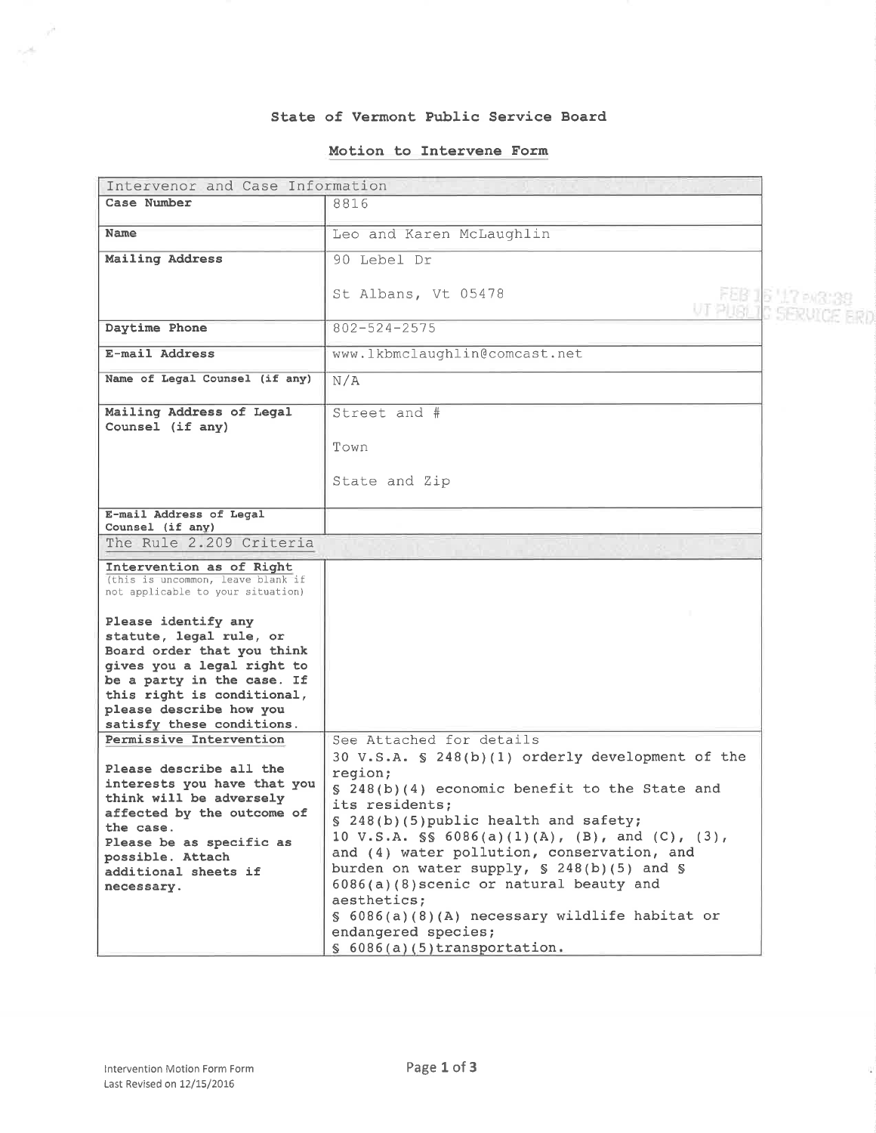### State of Vermont Public Service Board

# Motion to Intervene Form

| Intervenor and Case Information                                        |                                                             |                   |  |  |
|------------------------------------------------------------------------|-------------------------------------------------------------|-------------------|--|--|
| Case Number                                                            | 8816                                                        |                   |  |  |
| <b>Name</b>                                                            |                                                             |                   |  |  |
|                                                                        | Leo and Karen McLaughlin                                    |                   |  |  |
| Mailing Address                                                        | 90 Lebel Dr                                                 |                   |  |  |
|                                                                        |                                                             |                   |  |  |
|                                                                        | St Albans, Vt 05478                                         | FEB 16 '17 ex3039 |  |  |
|                                                                        | UT PLIGHT CISERUI                                           |                   |  |  |
| Daytime Phone                                                          | $802 - 524 - 2575$                                          |                   |  |  |
| E-mail Address                                                         | www.lkbmclaughlin@comcast.net                               |                   |  |  |
| Name of Legal Counsel (if any)                                         | N/A                                                         |                   |  |  |
| Mailing Address of Legal                                               | Street and #                                                |                   |  |  |
| Counsel (if any)                                                       |                                                             |                   |  |  |
|                                                                        | Town                                                        |                   |  |  |
|                                                                        |                                                             |                   |  |  |
|                                                                        | State and Zip                                               |                   |  |  |
|                                                                        |                                                             |                   |  |  |
| E-mail Address of Legal<br>Counsel (if any)                            |                                                             |                   |  |  |
| The Rule 2.209 Criteria                                                |                                                             |                   |  |  |
| Intervention as of Right                                               |                                                             |                   |  |  |
| (this is uncommon, leave blank if<br>not applicable to your situation) |                                                             |                   |  |  |
|                                                                        |                                                             |                   |  |  |
| Please identify any                                                    |                                                             |                   |  |  |
| statute, legal rule, or                                                |                                                             |                   |  |  |
| Board order that you think<br>gives you a legal right to               |                                                             |                   |  |  |
| be a party in the case. If                                             |                                                             |                   |  |  |
| this right is conditional,                                             |                                                             |                   |  |  |
| please describe how you                                                |                                                             |                   |  |  |
| satisfy these conditions.                                              |                                                             |                   |  |  |
| Permissive Intervention                                                | See Attached for details                                    |                   |  |  |
| Please describe all the                                                | 30 V.S.A. § 248(b)(1) orderly development of the<br>region; |                   |  |  |
| interests you have that you                                            | § 248(b)(4) economic benefit to the State and               |                   |  |  |
| think will be adversely                                                | its residents;                                              |                   |  |  |
| affected by the outcome of                                             | § 248(b)(5) public health and safety;                       |                   |  |  |
| the case.                                                              | 10 V.S.A. $\$ 6086(a)(1)(A), (B), and (C), (3),             |                   |  |  |
| Please be as specific as<br>possible. Attach                           | and (4) water pollution, conservation, and                  |                   |  |  |
| additional sheets if                                                   | burden on water supply, § 248(b)(5) and §                   |                   |  |  |
| necessary.                                                             | 6086(a)(8) scenic or natural beauty and                     |                   |  |  |
|                                                                        | aesthetics;                                                 |                   |  |  |
|                                                                        | $\S$ 6086(a)(8)(A) necessary wildlife habitat or            |                   |  |  |
|                                                                        | endangered species;                                         |                   |  |  |
|                                                                        | $$6086(a)(5)$ transportation.                               |                   |  |  |

 $\mathcal{P}$  $\sim 10^{-1}$ 

 $\mathbf{u}$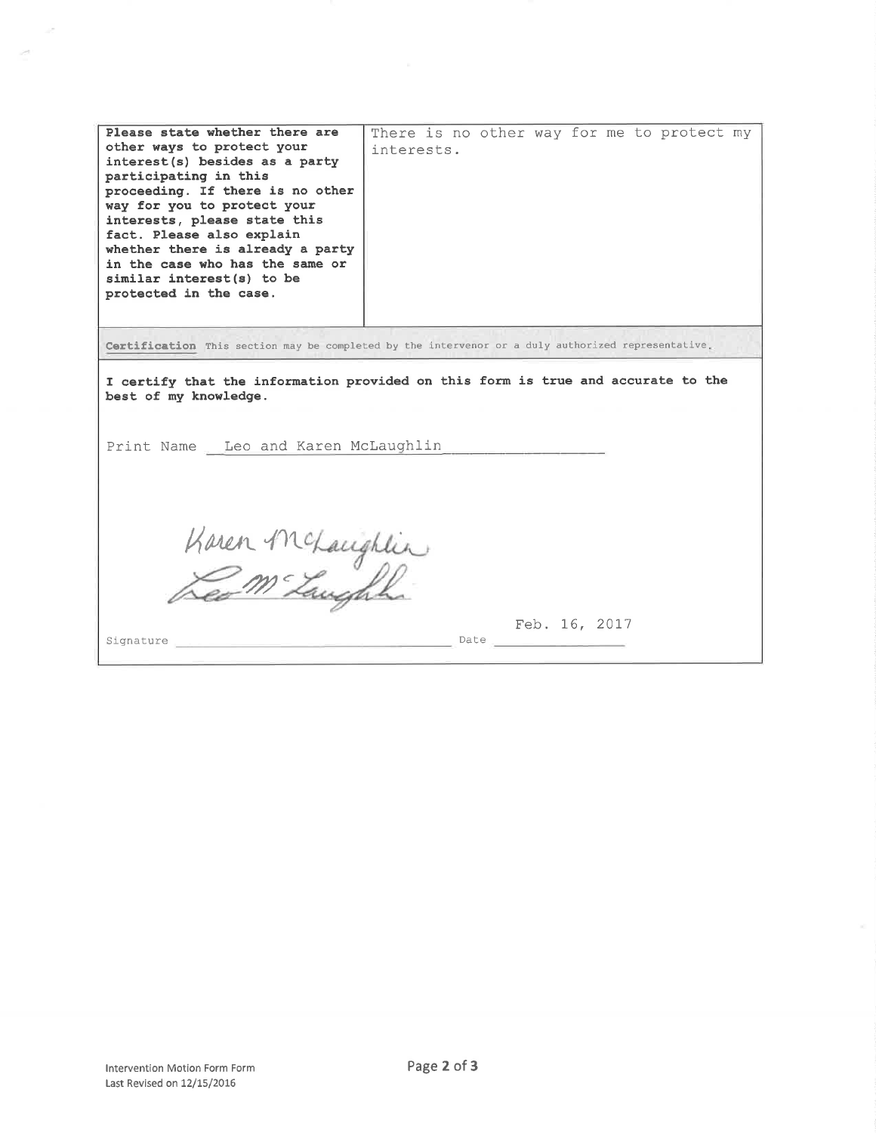| Certification This section may be completed by the intervenor or a duly authorized representative.<br>I certify that the information provided on this form is true and accurate to the<br>best of my knowledge.<br>Print Name Leo and Karen McLaughlin<br>Karen McLaughlin | Please state whether there are<br>other ways to protect your<br>interest(s) besides as a party<br>participating in this<br>proceeding. If there is no other<br>way for you to protect your<br>interests, please state this<br>fact. Please also explain<br>whether there is already a party<br>in the case who has the same or<br>similar interest(s) to be<br>protected in the case. | There is no other way for me to protect my<br>interests. |
|----------------------------------------------------------------------------------------------------------------------------------------------------------------------------------------------------------------------------------------------------------------------------|---------------------------------------------------------------------------------------------------------------------------------------------------------------------------------------------------------------------------------------------------------------------------------------------------------------------------------------------------------------------------------------|----------------------------------------------------------|
|                                                                                                                                                                                                                                                                            |                                                                                                                                                                                                                                                                                                                                                                                       |                                                          |
| Feb. 16, 2017                                                                                                                                                                                                                                                              |                                                                                                                                                                                                                                                                                                                                                                                       |                                                          |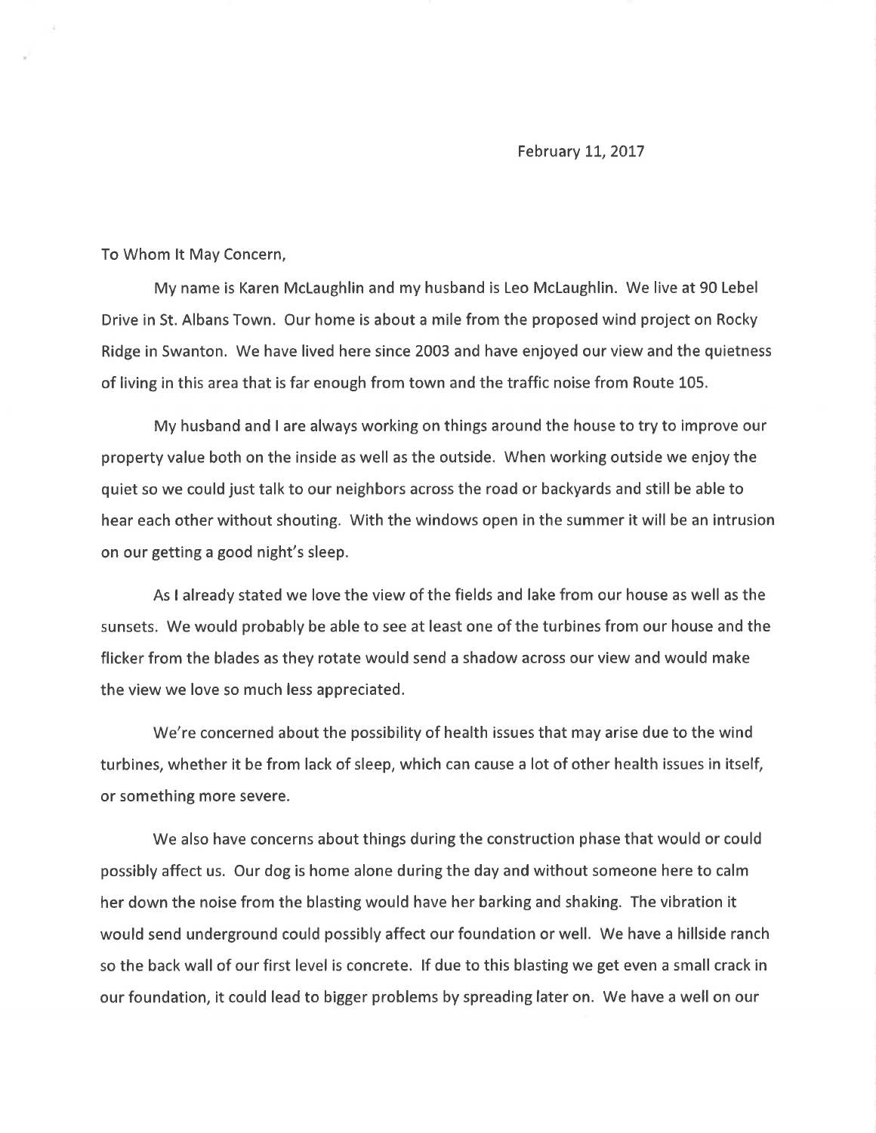#### February 11, 2017

To Whom lt May Concern,

My name is Karen Mclaughlin and my husband is Leo Mclaughlin. We live at 90 Lebel Drive in St. Albans Town. Our home is about a mile from the proposed wind project on Rocky Ridge in Swanton. We have lived here since 2003 and have enjoyed our view and the quietness of living in this area that is far enough from town and the traffic noise from Route 105.

My husband and I are always working on things around the house to try to improve our property value both on the inside as well as the outside. When working outside we enjoy the quiet so we could just talk to our neighbors across the road or backyards and still be able to hear each other without shouting. With the windows open in the summer it will be an intrusion on our getting a good night's sleep.

As I already stated we love the view of the fields and lake from our house as well as the sunsets. We would probably be able to see at least one of the turbines from our house and the flicker from the blades as they rotate would send a shadow across our view and would make the view we love so much less appreciated.

We're concerned about the possibility of health issues that may arise due to the wind turbines, whether it be from lack of sleep, which can cause a lot of other health issues in itself, or something more severe.

We also have concerns about things during the construction phase that would or could possibly affect us. Our dog is home alone during the day and without someone here to calm her down the noise from the blasting would have her barking and shaking. The vibration it would send underground could possibly affect our foundation or well. We have a hillside ranch so the back wall of our first level is concrete. lf due to this blasting we get even a small crack in our foundation, it could lead to bigger problems by spreading later on. We have a well on our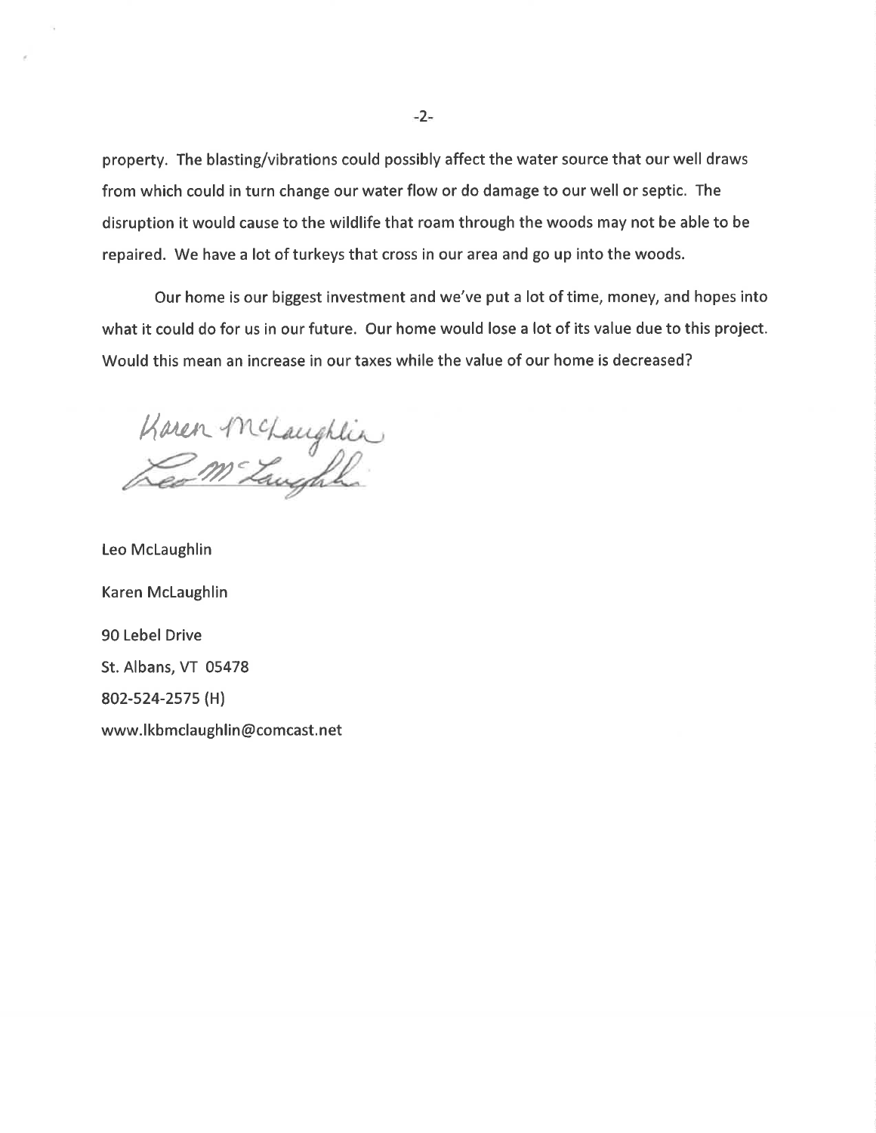property. The blasting/vibrations could possibly affect the water source that our well draws from which could in turn change our water flow or do damage to our well or septic. The disruption it would cause to the wildlife that roam through the woods may not be able to be repaired. We have a lot of turkeys that cross in our area and go up into the woods.

Our home is our biggest investment and we've put a lot of time, money, and hopes into what it could do for us in our future. Our home would lose a lot of its value due to this project. Would this mean an increase in our taxes while the value of our home is decreased?

Karen  $m<sub>z</sub>$ 

Leo McLaughlin Karen Mclaughlin 90 Lebel Drive St. Albans, VT 05478 802-s24-2s7s (H) www.lkbmclaughlin@comcast.net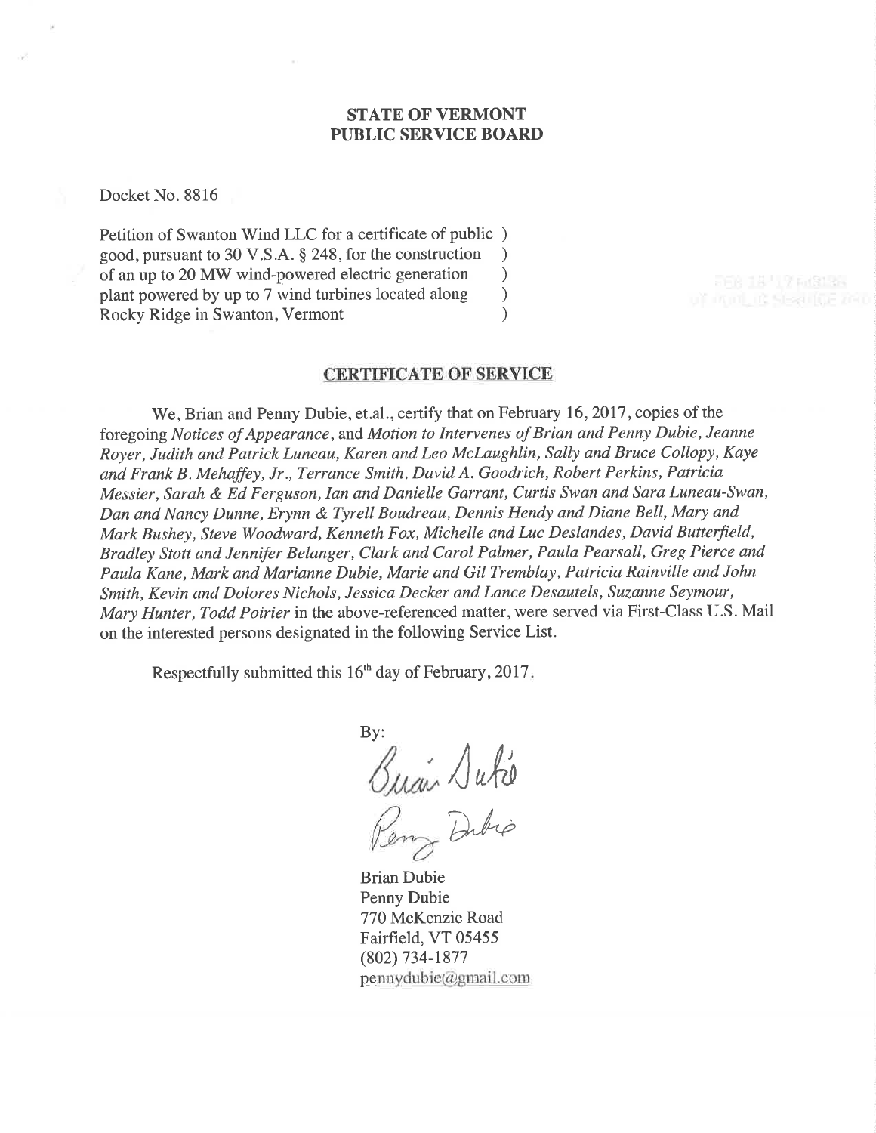# STATE OF VERMONT PUBLIC SERVICE BOARD

Docket No. 8816

Petition of Swanton Wind LLC for a certificate of public ) good, pursuant to 30 V.S.A. \$ 248, for the construction ) of an up to 20 MW wind-powered electric generation <br>plant powered by up to 7 wind turbines located along  $)$ plant powered by up to 7 wind turbines located along ) Rocky Ridge in Swanton, Vermont (1998)

## CERTIFICATE OF SERVICE

We, Brian and Penny Dubie, et.al., certify that on February 16, 2017, copies of the foregoing Notices of Appearance, and Motion to Intervenes of Brian and Penny Dubie, Jeanne Royer, Judith and Patrick Luneau, Karen and Leo Mclaughlin, Sally and Bruce Collopy, Kaye and Frank B . Mehaffey, Jr., Terrance Smith, David A. Goodrich, Robert Perkins, Patricia Messier, Sarah & Ed Ferguson, Ian and Danielle Garrant, Curtis Swan and Sara Luneau-Swan, Dan and Nancy Dunne, Erynn & Tyrell Boudreau, Dennis Hendy and Diane Bell, Mary and Mark Bushey, Steve Woodward, Kenneth Fox, Michelle and Luc Deslandes, David Butterfield, Bradley Stott and Jennifer Belanger, Clark and Carol Palmer, Paula Pearsall, Greg Pierce and Paula Kane, Mark and Marianne Dubie, Marie and GiI Tremblay, Patricia Rainville and John Smith, Kevin and Dolores Nichols, Jessica Decker and Lance Desautels, Suzanne Seymour, Mary Hunter, Todd Poirier in the above-referenced matter, were served via First-Class U.S. Mail on the interested persons designated in the following Service List.

Respectfully submitted this  $16<sup>th</sup>$  day of February, 2017.

By:  $\sqrt{abc}$ Dibio

Brian Dubie Penny Dubie 770 McKenzie Road Fairfield, VT 05455 (802) 734-1877  $p$ ennydubie@gmail.com